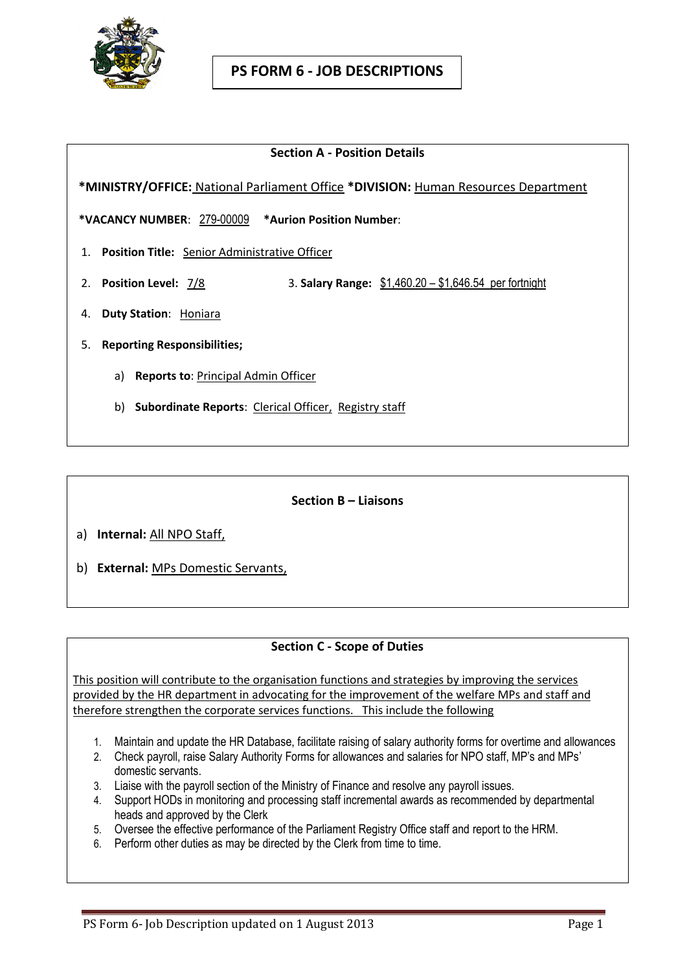

### **Section A - Position Details**

 **\*MINISTRY/OFFICE:** National Parliament Office **\*DIVISION:** Human Resources Department

**\*VACANCY NUMBER**: 279-00009 **\*Aurion Position Number**:

- 1. **Position Title:** Senior Administrative Officer
- 2. **Position Level:** 7/8 3. **Salary Range:** \$1,460.20 \$1,646.54 per fortnight
- 4. **Duty Station**: Honiara
- 5. **Reporting Responsibilities;**
	- a) **Reports to**: Principal Admin Officer
	- b) **Subordinate Reports**: Clerical Officer, Registry staff

#### **Section B – Liaisons**

- a) **Internal:** All NPO Staff,
- b) **External:** MPs Domestic Servants,

# **Section C - Scope of Duties**

This position will contribute to the organisation functions and strategies by improving the services provided by the HR department in advocating for the improvement of the welfare MPs and staff and therefore strengthen the corporate services functions. This include the following

- 1. Maintain and update the HR Database, facilitate raising of salary authority forms for overtime and allowances
- 2. Check payroll, raise Salary Authority Forms for allowances and salaries for NPO staff, MP's and MPs' domestic servants.
- 3. Liaise with the payroll section of the Ministry of Finance and resolve any payroll issues.
- 4. Support HODs in monitoring and processing staff incremental awards as recommended by departmental heads and approved by the Clerk
- 5. Oversee the effective performance of the Parliament Registry Office staff and report to the HRM.
- 6. Perform other duties as may be directed by the Clerk from time to time.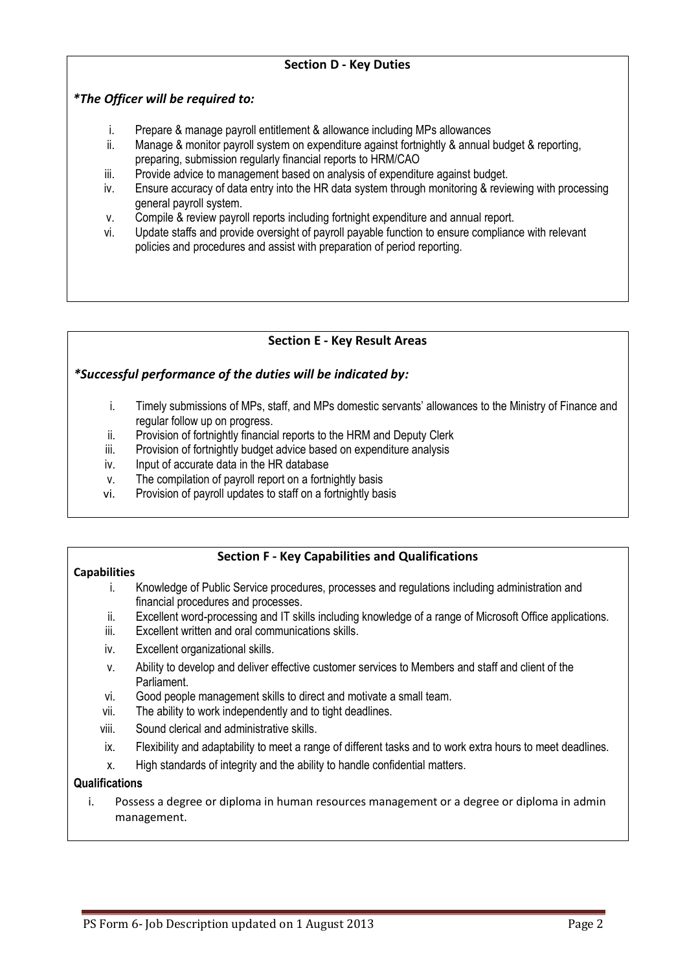## **Section D - Key Duties**

## *\*The Officer will be required to:*

- i. Prepare & manage payroll entitlement & allowance including MPs allowances
- ii. Manage & monitor payroll system on expenditure against fortnightly & annual budget & reporting, preparing, submission regularly financial reports to HRM/CAO
- iii. Provide advice to management based on analysis of expenditure against budget.
- iv. Ensure accuracy of data entry into the HR data system through monitoring & reviewing with processing general payroll system.
- v. Compile & review payroll reports including fortnight expenditure and annual report.
- vi. Update staffs and provide oversight of payroll payable function to ensure compliance with relevant policies and procedures and assist with preparation of period reporting.

### **Section E - Key Result Areas**

### *\*Successful performance of the duties will be indicated by:*

- i. Timely submissions of MPs, staff, and MPs domestic servants' allowances to the Ministry of Finance and regular follow up on progress.
- ii. Provision of fortnightly financial reports to the HRM and Deputy Clerk
- iii. Provision of fortnightly budget advice based on expenditure analysis
- iv. Input of accurate data in the HR database
- v. The compilation of payroll report on a fortnightly basis
- vi. Provision of payroll updates to staff on a fortnightly basis

### **Section F - Key Capabilities and Qualifications**

#### **Capabilities**

- i. Knowledge of Public Service procedures, processes and regulations including administration and financial procedures and processes.
- ii. Excellent word-processing and IT skills including knowledge of a range of Microsoft Office applications.
- iii. Excellent written and oral communications skills.
- iv. Excellent organizational skills.
- v. Ability to develop and deliver effective customer services to Members and staff and client of the Parliament.
- vi. Good people management skills to direct and motivate a small team.
- vii. The ability to work independently and to tight deadlines.
- viii. Sound clerical and administrative skills.
- ix. Flexibility and adaptability to meet a range of different tasks and to work extra hours to meet deadlines.
- x. High standards of integrity and the ability to handle confidential matters.

#### **Qualifications**

i. Possess a degree or diploma in human resources management or a degree or diploma in admin management.